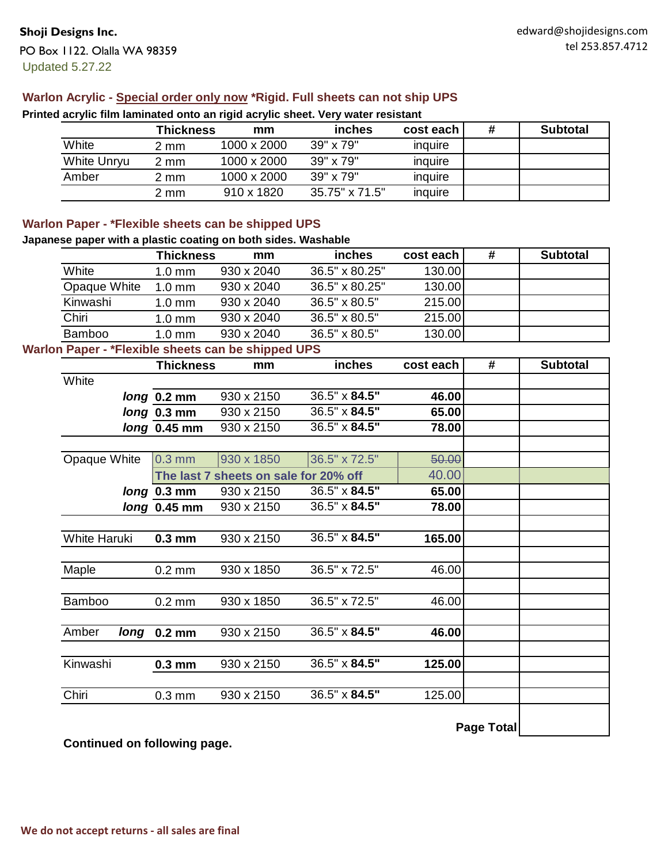## **Warlon Acrylic - Special order only now \*Rigid. Full sheets can not ship UPS**

|                    | Thickness | mm          | <b>inches</b>    | cost each | # | <b>Subtotal</b> |
|--------------------|-----------|-------------|------------------|-----------|---|-----------------|
| White              | 2 mm      | 1000 x 2000 | $39" \times 79"$ | inquire   |   |                 |
| <b>White Unryu</b> | 2 mm      | 1000 x 2000 | 39" x 79"        | inquire   |   |                 |
| Amber              | 2 mm      | 1000 x 2000 | 39" x 79"        | inquire   |   |                 |
|                    | 2 mm      | 910 x 1820  | 35.75" x 71.5"   | inquire   |   |                 |

**Printed acrylic film laminated onto an rigid acrylic sheet. Very water resistant**

# **Warlon Paper - \*Flexible sheets can be shipped UPS**

#### **Japanese paper with a plastic coating on both sides. Washable**

|               | <b>Thickness</b> | mm         | <i>inches</i>        | cost each | # | <b>Subtotal</b> |
|---------------|------------------|------------|----------------------|-----------|---|-----------------|
| White         | $1.0 \text{ mm}$ | 930 x 2040 | 36.5" x 80.25"       | 130.00    |   |                 |
| Opaque White  | $1.0 \text{ mm}$ | 930 x 2040 | 36.5" x 80.25"       | 130.00    |   |                 |
| Kinwashi      | $1.0 \text{ mm}$ | 930 x 2040 | $36.5" \times 80.5"$ | 215.00    |   |                 |
| Chiri         | $1.0 \text{ mm}$ | 930 x 2040 | $36.5" \times 80.5"$ | 215.00    |   |                 |
| <b>Bamboo</b> | $1.0 \text{ mm}$ | 930 x 2040 | $36.5" \times 80.5"$ | 130.00    |   |                 |

# **Warlon Paper - \*Flexible sheets can be shipped UPS**

|               | <b>Thickness</b> | mm                                    | inches        | cost each | #          | <b>Subtotal</b> |
|---------------|------------------|---------------------------------------|---------------|-----------|------------|-----------------|
| White         |                  |                                       |               |           |            |                 |
|               | long 0.2 mm      | 930 x 2150                            | 36.5" x 84.5" | 46.00     |            |                 |
|               | long 0.3 mm      | 930 x 2150                            | 36.5" x 84.5" | 65.00     |            |                 |
|               | long 0.45 mm     | 930 x 2150                            | 36.5" x 84.5" | 78.00     |            |                 |
|               |                  |                                       |               |           |            |                 |
| Opaque White  | $0.3$ mm         | 930 x 1850                            | 36.5" x 72.5" | 50.00     |            |                 |
|               |                  | The last 7 sheets on sale for 20% off |               | 40.00     |            |                 |
|               | long 0.3 mm      | 930 x 2150                            | 36.5" x 84.5" | 65.00     |            |                 |
|               | $long$ 0.45 mm   | 930 x 2150                            | 36.5" x 84.5" | 78.00     |            |                 |
|               |                  |                                       |               |           |            |                 |
| White Haruki  | $0.3$ mm         | 930 x 2150                            | 36.5" x 84.5" | 165.00    |            |                 |
|               |                  |                                       |               |           |            |                 |
| Maple         | $0.2 \text{ mm}$ | 930 x 1850                            | 36.5" x 72.5" | 46.00     |            |                 |
|               |                  |                                       |               |           |            |                 |
| <b>Bamboo</b> | $0.2 \text{ mm}$ | 930 x 1850                            | 36.5" x 72.5" | 46.00     |            |                 |
|               |                  |                                       |               |           |            |                 |
| Amber         | long 0.2 mm      | 930 x 2150                            | 36.5" x 84.5" | 46.00     |            |                 |
|               |                  |                                       |               |           |            |                 |
| Kinwashi      | $0.3$ mm         | 930 x 2150                            | 36.5" x 84.5" | 125.00    |            |                 |
|               |                  |                                       |               |           |            |                 |
| Chiri         | $0.3 \text{ mm}$ | 930 x 2150                            | 36.5" x 84.5" | 125.00    |            |                 |
|               |                  |                                       |               |           |            |                 |
|               |                  |                                       |               |           | Page Total |                 |

**Continued on following page.**